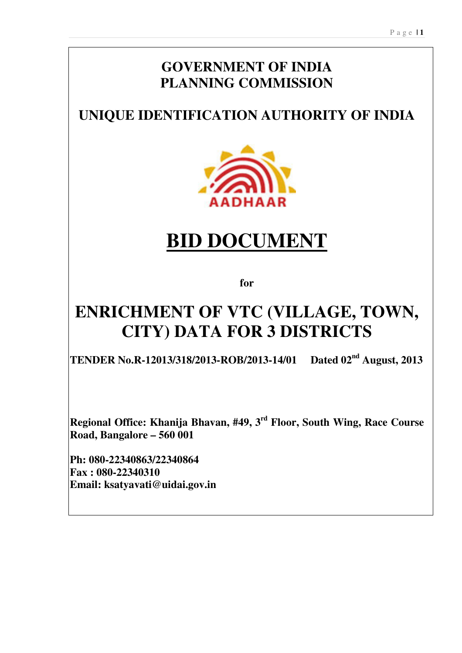# **GOVERNMENT OF INDIA PLANNING COMMISSION**

# **UNIQUE IDENTIFICATION AUTHORITY OF INDIA**



# **BID DOCUMENT**

**for** 

# **ENRICHMENT OF VTC (VILLAGE, TOWN, CITY) DATA FOR 3 DISTRICTS**

**TENDER No.R-12013/318/2013-ROB/2013-14/01 Dated 02nd August, 2013** 

**Regional Office: Khanija Bhavan, #49, 3rd Floor, South Wing, Race Course Road, Bangalore – 560 001** 

**Ph: 080-22340863/22340864 Fax : 080-22340310 Email: ksatyavati@uidai.gov.in**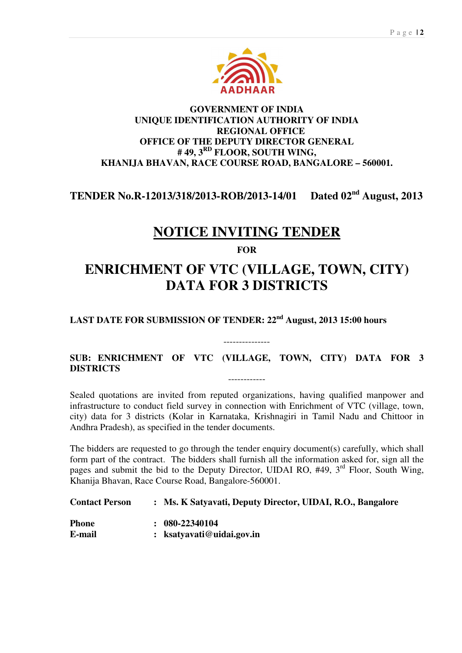

### **GOVERNMENT OF INDIA UNIQUE IDENTIFICATION AUTHORITY OF INDIA REGIONAL OFFICE OFFICE OF THE DEPUTY DIRECTOR GENERAL # 49, 3RD FLOOR, SOUTH WING, KHANIJA BHAVAN, RACE COURSE ROAD, BANGALORE – 560001.**

### **TENDER No.R-12013/318/2013-ROB/2013-14/01 Dated 02nd August, 2013**

# **NOTICE INVITING TENDER**

**FOR** 

# **ENRICHMENT OF VTC (VILLAGE, TOWN, CITY) DATA FOR 3 DISTRICTS**

**LAST DATE FOR SUBMISSION OF TENDER: 22nd August, 2013 15:00 hours** 

### **SUB: ENRICHMENT OF VTC (VILLAGE, TOWN, CITY) DATA FOR 3 DISTRICTS**

------------

---------------

Sealed quotations are invited from reputed organizations, having qualified manpower and infrastructure to conduct field survey in connection with Enrichment of VTC (village, town, city) data for 3 districts (Kolar in Karnataka, Krishnagiri in Tamil Nadu and Chittoor in Andhra Pradesh), as specified in the tender documents.

The bidders are requested to go through the tender enquiry document(s) carefully, which shall form part of the contract. The bidders shall furnish all the information asked for, sign all the pages and submit the bid to the Deputy Director, UIDAI RO, #49, 3rd Floor, South Wing, Khanija Bhavan, Race Course Road, Bangalore-560001.

**Contact Person : Ms. K Satyavati, Deputy Director, UIDAI, R.O., Bangalore Phone : 080-22340104 E-mail : ksatyavati@uidai.gov.in**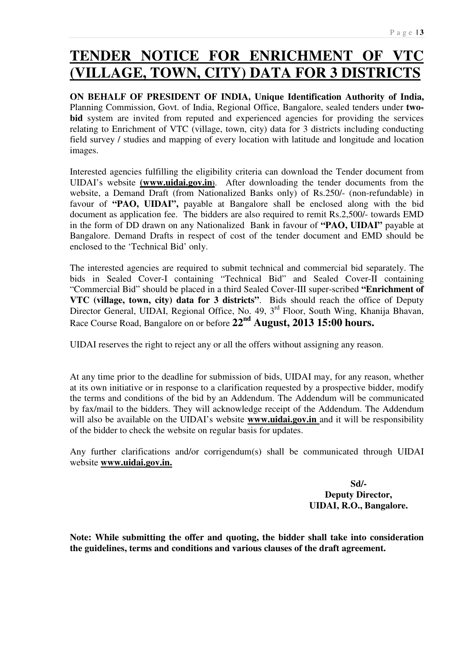# **TENDER NOTICE FOR ENRICHMENT OF VTC (VILLAGE, TOWN, CITY) DATA FOR 3 DISTRICTS**

**ON BEHALF OF PRESIDENT OF INDIA, Unique Identification Authority of India,**  Planning Commission, Govt. of India, Regional Office, Bangalore, sealed tenders under **twobid** system are invited from reputed and experienced agencies for providing the services relating to Enrichment of VTC (village, town, city) data for 3 districts including conducting field survey / studies and mapping of every location with latitude and longitude and location images.

Interested agencies fulfilling the eligibility criteria can download the Tender document from UIDAI's website **(www.uidai.gov.in)**. After downloading the tender documents from the website, a Demand Draft (from Nationalized Banks only) of Rs.250/- (non-refundable) in favour of **"PAO, UIDAI",** payable at Bangalore shall be enclosed along with the bid document as application fee. The bidders are also required to remit Rs.2,500/- towards EMD in the form of DD drawn on any Nationalized Bank in favour of **"PAO, UIDAI"** payable at Bangalore. Demand Drafts in respect of cost of the tender document and EMD should be enclosed to the 'Technical Bid' only.

The interested agencies are required to submit technical and commercial bid separately. The bids in Sealed Cover-I containing "Technical Bid" and Sealed Cover-II containing "Commercial Bid" should be placed in a third Sealed Cover-III super-scribed **"Enrichment of VTC (village, town, city) data for 3 districts"**. Bids should reach the office of Deputy Director General, UIDAI, Regional Office, No. 49, 3<sup>rd</sup> Floor, South Wing, Khanija Bhavan, Race Course Road, Bangalore on or before **22nd August, 2013 15:00 hours.**

UIDAI reserves the right to reject any or all the offers without assigning any reason.

At any time prior to the deadline for submission of bids, UIDAI may, for any reason, whether at its own initiative or in response to a clarification requested by a prospective bidder, modify the terms and conditions of the bid by an Addendum. The Addendum will be communicated by fax/mail to the bidders. They will acknowledge receipt of the Addendum. The Addendum will also be available on the UIDAI's website **www.uidai.gov.in** and it will be responsibility of the bidder to check the website on regular basis for updates.

Any further clarifications and/or corrigendum(s) shall be communicated through UIDAI website **www.uidai.gov.in.**

> **Sd/- Deputy Director, UIDAI, R.O., Bangalore.**

**Note: While submitting the offer and quoting, the bidder shall take into consideration the guidelines, terms and conditions and various clauses of the draft agreement.**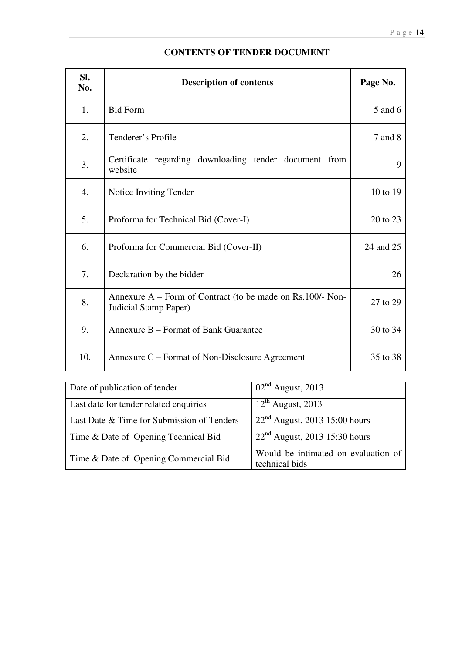| SI.<br>No.       | <b>Description of contents</b>                                                      | Page No.  |
|------------------|-------------------------------------------------------------------------------------|-----------|
| 1.               | <b>Bid Form</b>                                                                     | 5 and 6   |
| 2.               | Tenderer's Profile                                                                  | 7 and 8   |
| 3.               | Certificate regarding downloading tender document from<br>website                   | 9         |
| $\overline{4}$ . | Notice Inviting Tender                                                              | 10 to 19  |
| 5.               | Proforma for Technical Bid (Cover-I)                                                | 20 to 23  |
| 6.               | Proforma for Commercial Bid (Cover-II)                                              | 24 and 25 |
| 7.               | Declaration by the bidder                                                           | 26        |
| 8.               | Annexure A – Form of Contract (to be made on Rs.100/- Non-<br>Judicial Stamp Paper) | 27 to 29  |
| 9.               | Annexure B – Format of Bank Guarantee                                               | 30 to 34  |
| 10.              | Annexure C – Format of Non-Disclosure Agreement                                     | 35 to 38  |

### **CONTENTS OF TENDER DOCUMENT**

| Date of publication of tender              | $02nd$ August, 2013                                   |
|--------------------------------------------|-------------------------------------------------------|
| Last date for tender related enquiries     | $12th$ August, 2013                                   |
| Last Date & Time for Submission of Tenders | $22nd$ August, 2013 15:00 hours                       |
| Time & Date of Opening Technical Bid       | $22nd$ August, 2013 15:30 hours                       |
| Time & Date of Opening Commercial Bid      | Would be intimated on evaluation of<br>technical bids |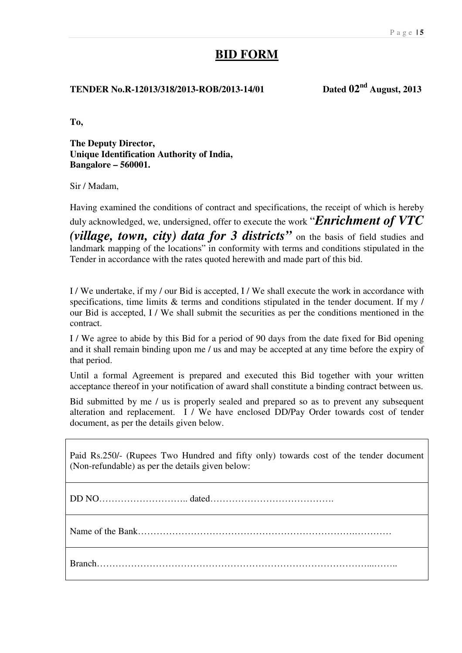### **BID FORM**

### **TENDER No.R-12013/318/2013-ROB/2013-14/01 Dated 02nd August, 2013**

**To,** 

**The Deputy Director, Unique Identification Authority of India, Bangalore – 560001.** 

Sir / Madam,

Having examined the conditions of contract and specifications, the receipt of which is hereby

duly acknowledged, we, undersigned, offer to execute the work "*Enrichment of VTC* 

*(village, town, city) data for 3 districts"* on the basis of field studies and landmark mapping of the locations" in conformity with terms and conditions stipulated in the Tender in accordance with the rates quoted herewith and made part of this bid.

I / We undertake, if my / our Bid is accepted, I / We shall execute the work in accordance with specifications, time limits & terms and conditions stipulated in the tender document. If my / our Bid is accepted, I / We shall submit the securities as per the conditions mentioned in the contract.

I / We agree to abide by this Bid for a period of 90 days from the date fixed for Bid opening and it shall remain binding upon me / us and may be accepted at any time before the expiry of that period.

Until a formal Agreement is prepared and executed this Bid together with your written acceptance thereof in your notification of award shall constitute a binding contract between us.

Bid submitted by me / us is properly sealed and prepared so as to prevent any subsequent alteration and replacement. I / We have enclosed DD/Pay Order towards cost of tender document, as per the details given below.

Paid Rs.250/- (Rupees Two Hundred and fifty only) towards cost of the tender document (Non-refundable) as per the details given below:

DD NO……………………….. dated………………………………….

Name of the Bank…………………………………………………………….…………

Branch……………………………………………………………………………...……..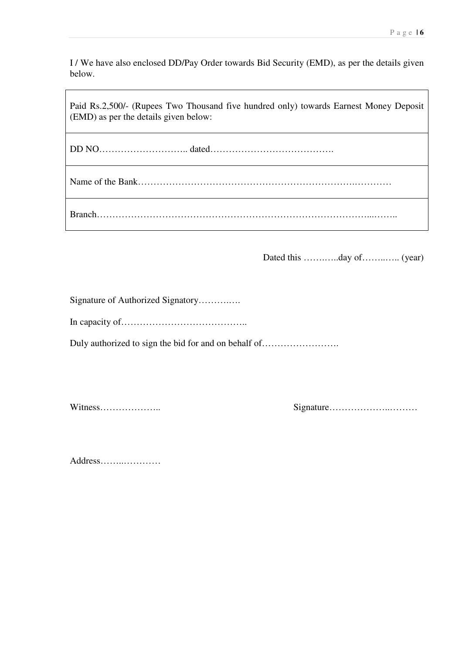I / We have also enclosed DD/Pay Order towards Bid Security (EMD), as per the details given below.

Paid Rs.2,500/- (Rupees Two Thousand five hundred only) towards Earnest Money Deposit (EMD) as per the details given below: DD NO……………………….. dated…………………………………. Name of the Bank…………………………………………………………….………… Branch……………………………………………………………………………...……..

Dated this …….…..day of……..….. (year)

Signature of Authorized Signatory……….…. In capacity of…………………………………..

Duly authorized to sign the bid for and on behalf of…………………….

Witness……………….. Signature………………..………

Address……..…………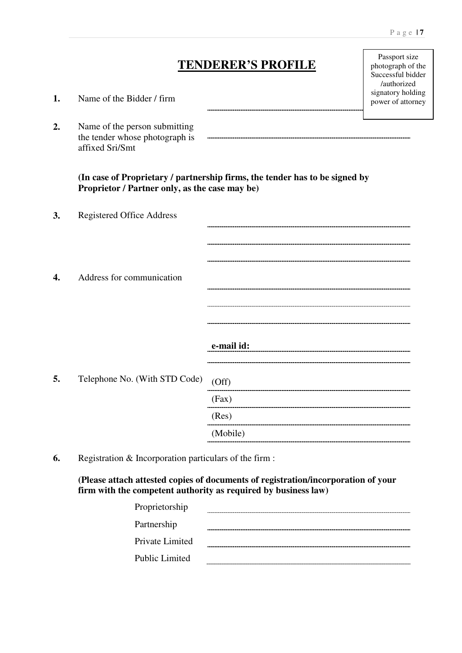## **TENDERER'S PROFILE**

| 1. | Name of the Bidder / firm                                                          |                                                                             | signatory holding<br>power of attorney |
|----|------------------------------------------------------------------------------------|-----------------------------------------------------------------------------|----------------------------------------|
| 2. | Name of the person submitting<br>the tender whose photograph is<br>affixed Sri/Smt |                                                                             |                                        |
|    | Proprietor / Partner only, as the case may be)                                     | (In case of Proprietary / partnership firms, the tender has to be signed by |                                        |
| 3. | <b>Registered Office Address</b>                                                   |                                                                             |                                        |
| 4. | Address for communication                                                          |                                                                             |                                        |
|    |                                                                                    | e-mail id:                                                                  |                                        |
| 5. | Telephone No. (With STD Code)                                                      | (Off)                                                                       |                                        |
|    |                                                                                    | (Fax)                                                                       |                                        |
|    |                                                                                    | (Res)                                                                       |                                        |
|    |                                                                                    | (Mobile)                                                                    |                                        |

**6.** Registration & Incorporation particulars of the firm :

**(Please attach attested copies of documents of registration/incorporation of your firm with the competent authority as required by business law)** 

| Proprietorship        |  |
|-----------------------|--|
| Partnership           |  |
| Private Limited       |  |
| <b>Public Limited</b> |  |

Passport size photograph of the Successful bidder /authorized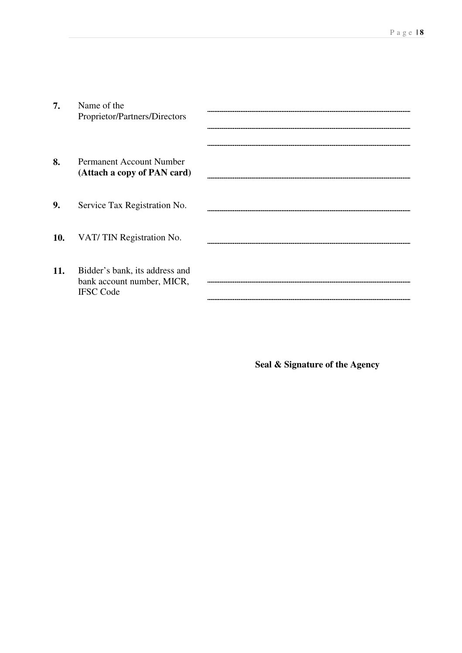| 7.  | Name of the<br>Proprietor/Partners/Directors                                     |  |
|-----|----------------------------------------------------------------------------------|--|
| 8.  | <b>Permanent Account Number</b><br>(Attach a copy of PAN card)                   |  |
| 9.  | Service Tax Registration No.                                                     |  |
| 10. | VAT/TIN Registration No.                                                         |  |
| 11. | Bidder's bank, its address and<br>bank account number, MICR,<br><b>IFSC Code</b> |  |

 **Seal & Signature of the Agency**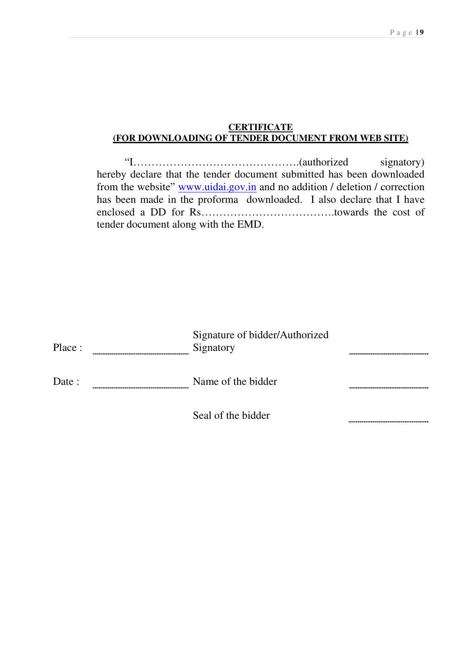### **CERTIFICATE (FOR DOWNLOADING OF TENDER DOCUMENT FROM WEB SITE)**

"I……………………………………….(authorized signatory) hereby declare that the tender document submitted has been downloaded from the website" www.uidai.gov.in and no addition / deletion / correction has been made in the proforma downloaded. I also declare that I have enclosed a DD for Rs……………………………….towards the cost of tender document along with the EMD.

| Place:                       | Signature of bidder/Authorized<br>Signatory |  |
|------------------------------|---------------------------------------------|--|
| Date :<br>------------------ | Name of the bidder                          |  |
|                              | Seal of the bidder                          |  |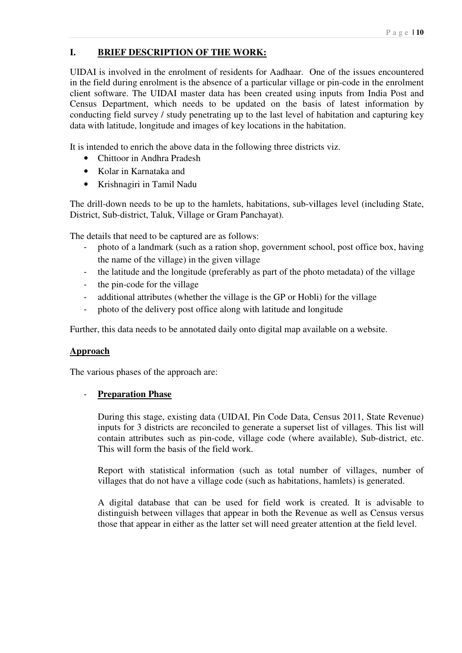### **I. BRIEF DESCRIPTION OF THE WORK:**

UIDAI is involved in the enrolment of residents for Aadhaar. One of the issues encountered in the field during enrolment is the absence of a particular village or pin-code in the enrolment client software. The UIDAI master data has been created using inputs from India Post and Census Department, which needs to be updated on the basis of latest information by conducting field survey / study penetrating up to the last level of habitation and capturing key data with latitude, longitude and images of key locations in the habitation.

It is intended to enrich the above data in the following three districts viz.

- Chittoor in Andhra Pradesh
- Kolar in Karnataka and
- Krishnagiri in Tamil Nadu

The drill-down needs to be up to the hamlets, habitations, sub-villages level (including State, District, Sub-district, Taluk, Village or Gram Panchayat).

The details that need to be captured are as follows:

- photo of a landmark (such as a ration shop, government school, post office box, having the name of the village) in the given village
- the latitude and the longitude (preferably as part of the photo metadata) of the village
- the pin-code for the village
- additional attributes (whether the village is the GP or Hobli) for the village
- photo of the delivery post office along with latitude and longitude

Further, this data needs to be annotated daily onto digital map available on a website.

### **Approach**

The various phases of the approach are:

### - **Preparation Phase**

During this stage, existing data (UIDAI, Pin Code Data, Census 2011, State Revenue) inputs for 3 districts are reconciled to generate a superset list of villages. This list will contain attributes such as pin-code, village code (where available), Sub-district, etc. This will form the basis of the field work.

Report with statistical information (such as total number of villages, number of villages that do not have a village code (such as habitations, hamlets) is generated.

A digital database that can be used for field work is created. It is advisable to distinguish between villages that appear in both the Revenue as well as Census versus those that appear in either as the latter set will need greater attention at the field level.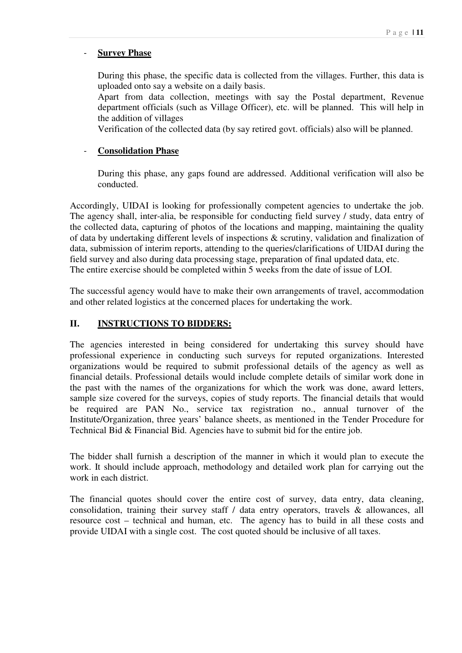### **Survey Phase**

During this phase, the specific data is collected from the villages. Further, this data is uploaded onto say a website on a daily basis.

Apart from data collection, meetings with say the Postal department, Revenue department officials (such as Village Officer), etc. will be planned. This will help in the addition of villages

Verification of the collected data (by say retired govt. officials) also will be planned.

### - **Consolidation Phase**

During this phase, any gaps found are addressed. Additional verification will also be conducted.

Accordingly, UIDAI is looking for professionally competent agencies to undertake the job. The agency shall, inter-alia, be responsible for conducting field survey / study, data entry of the collected data, capturing of photos of the locations and mapping, maintaining the quality of data by undertaking different levels of inspections & scrutiny, validation and finalization of data, submission of interim reports, attending to the queries/clarifications of UIDAI during the field survey and also during data processing stage, preparation of final updated data, etc. The entire exercise should be completed within 5 weeks from the date of issue of LOI.

The successful agency would have to make their own arrangements of travel, accommodation and other related logistics at the concerned places for undertaking the work.

### **II. INSTRUCTIONS TO BIDDERS:**

The agencies interested in being considered for undertaking this survey should have professional experience in conducting such surveys for reputed organizations. Interested organizations would be required to submit professional details of the agency as well as financial details. Professional details would include complete details of similar work done in the past with the names of the organizations for which the work was done, award letters, sample size covered for the surveys, copies of study reports. The financial details that would be required are PAN No., service tax registration no., annual turnover of the Institute/Organization, three years' balance sheets, as mentioned in the Tender Procedure for Technical Bid & Financial Bid. Agencies have to submit bid for the entire job.

The bidder shall furnish a description of the manner in which it would plan to execute the work. It should include approach, methodology and detailed work plan for carrying out the work in each district.

The financial quotes should cover the entire cost of survey, data entry, data cleaning, consolidation, training their survey staff / data entry operators, travels & allowances, all resource cost – technical and human, etc. The agency has to build in all these costs and provide UIDAI with a single cost. The cost quoted should be inclusive of all taxes.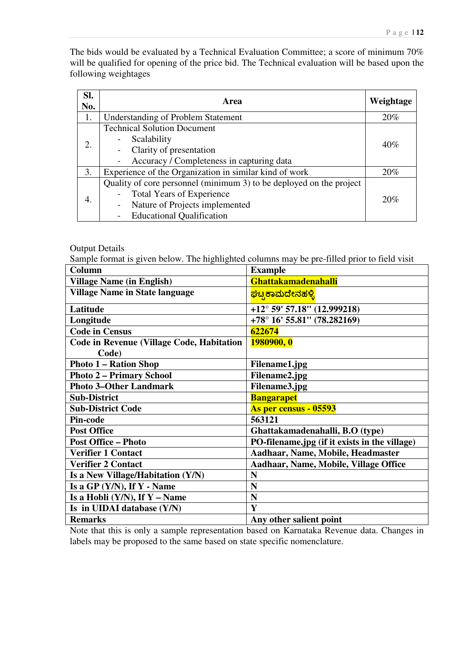The bids would be evaluated by a Technical Evaluation Committee; a score of minimum 70% will be qualified for opening of the price bid. The Technical evaluation will be based upon the following weightages

| SI.<br>No. | Area                                                                | Weightage |
|------------|---------------------------------------------------------------------|-----------|
| 1.         | <b>Understanding of Problem Statement</b>                           | 20%       |
|            | <b>Technical Solution Document</b>                                  |           |
| 2.         | Scalability                                                         | 40%       |
|            | Clarity of presentation                                             |           |
|            | Accuracy / Completeness in capturing data                           |           |
| 3.         | Experience of the Organization in similar kind of work              | 20%       |
|            | Quality of core personnel (minimum 3) to be deployed on the project |           |
| 4.         | <b>Total Years of Experience</b>                                    | 20%       |
|            | Nature of Projects implemented                                      |           |
|            | <b>Educational Qualification</b>                                    |           |

### Output Details

Sample format is given below. The highlighted columns may be pre-filled prior to field visit

| Column                                           | <b>Example</b>                                |
|--------------------------------------------------|-----------------------------------------------|
| <b>Village Name (in English)</b>                 | <b>Ghattakamadenahalli</b>                    |
| <b>Village Name in State language</b>            | <mark>ಘಟ್ರಕಾಮದೇನಹಳ್ಳಿ</mark>                  |
| Latitude                                         | $+12^{\circ}$ 59' 57.18" (12.999218)          |
| Longitude                                        | $+78^{\circ}$ 16' 55.81" (78.282169)          |
| <b>Code in Census</b>                            | 622674                                        |
| <b>Code in Revenue (Village Code, Habitation</b> | <b>1980900,0</b>                              |
| Code)                                            |                                               |
| <b>Photo 1 – Ration Shop</b>                     | Filename1.jpg                                 |
| <b>Photo 2 – Primary School</b>                  | Filename2.jpg                                 |
| <b>Photo 3–Other Landmark</b>                    | Filename3.jpg                                 |
| <b>Sub-District</b>                              | <b>Bangarapet</b>                             |
| <b>Sub-District Code</b>                         | As per census - 05593                         |
| Pin-code                                         | 563121                                        |
| <b>Post Office</b>                               | Ghattakamadenahalli, B.O (type)               |
| <b>Post Office - Photo</b>                       | PO-filename.jpg (if it exists in the village) |
| Verifier 1 Contact                               | Aadhaar, Name, Mobile, Headmaster             |
| <b>Verifier 2 Contact</b>                        | Aadhaar, Name, Mobile, Village Office         |
| Is a New Village/Habitation $(Y/N)$              | N                                             |
| Is a GP $(Y/N)$ , If $Y$ - Name                  | N                                             |
| Is a Hobli $(Y/N)$ , If $Y - Name$               | N                                             |
| Is in UIDAI database (Y/N)                       | Y                                             |
| <b>Remarks</b>                                   | Any other salient point                       |

Note that this is only a sample representation based on Karnataka Revenue data. Changes in labels may be proposed to the same based on state specific nomenclature.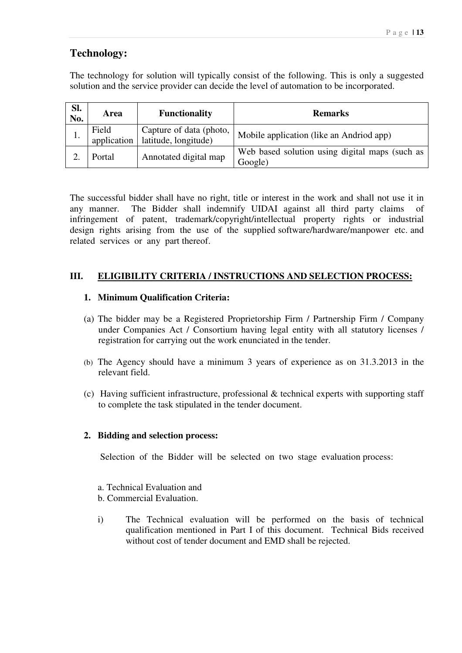### **Technology:**

The technology for solution will typically consist of the following. This is only a suggested solution and the service provider can decide the level of automation to be incorporated.

| SI.<br>No. | <b>Area</b>          | <b>Functionality</b>                            | <b>Remarks</b>                                            |
|------------|----------------------|-------------------------------------------------|-----------------------------------------------------------|
| ı.         | Field<br>application | Capture of data (photo,<br>latitude, longitude) | Mobile application (like an Andriod app)                  |
|            | Portal               | Annotated digital map                           | Web based solution using digital maps (such as<br>Google) |

The successful bidder shall have no right, title or interest in the work and shall not use it in any manner. The Bidder shall indemnify UIDAI against all third party claims of infringement of patent, trademark/copyright/intellectual property rights or industrial design rights arising from the use of the supplied software/hardware/manpower etc. and related services or any part thereof.

### **III. ELIGIBILITY CRITERIA / INSTRUCTIONS AND SELECTION PROCESS:**

### **1. Minimum Qualification Criteria:**

- (a) The bidder may be a Registered Proprietorship Firm / Partnership Firm / Company under Companies Act / Consortium having legal entity with all statutory licenses / registration for carrying out the work enunciated in the tender.
- (b) The Agency should have a minimum 3 years of experience as on 31.3.2013 in the relevant field.
- (c) Having sufficient infrastructure, professional & technical experts with supporting staff to complete the task stipulated in the tender document.

### **2. Bidding and selection process:**

Selection of the Bidder will be selected on two stage evaluation process:

- a. Technical Evaluation and
- b. Commercial Evaluation.
- i) The Technical evaluation will be performed on the basis of technical qualification mentioned in Part I of this document. Technical Bids received without cost of tender document and EMD shall be rejected.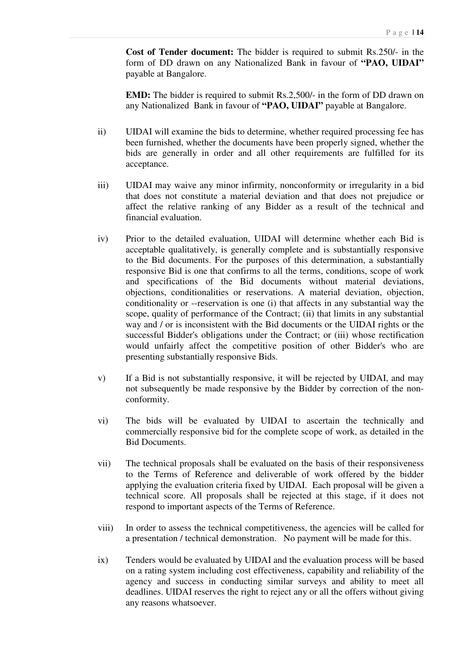**Cost of Tender document:** The bidder is required to submit Rs.250/- in the form of DD drawn on any Nationalized Bank in favour of **"PAO, UIDAI"** payable at Bangalore.

**EMD:** The bidder is required to submit Rs.2,500/- in the form of DD drawn on any Nationalized Bank in favour of **"PAO, UIDAI"** payable at Bangalore.

- ii) UIDAI will examine the bids to determine, whether required processing fee has been furnished, whether the documents have been properly signed, whether the bids are generally in order and all other requirements are fulfilled for its acceptance.
- iii) UIDAI may waive any minor infirmity, nonconformity or irregularity in a bid that does not constitute a material deviation and that does not prejudice or affect the relative ranking of any Bidder as a result of the technical and financial evaluation.
- iv) Prior to the detailed evaluation, UIDAI will determine whether each Bid is acceptable qualitatively, is generally complete and is substantially responsive to the Bid documents. For the purposes of this determination, a substantially responsive Bid is one that confirms to all the terms, conditions, scope of work and specifications of the Bid documents without material deviations, objections, conditionalities or reservations. A material deviation, objection, conditionality or --reservation is one (i) that affects in any substantial way the scope, quality of performance of the Contract; (ii) that limits in any substantial way and / or is inconsistent with the Bid documents or the UIDAI rights or the successful Bidder's obligations under the Contract; or (iii) whose rectification would unfairly affect the competitive position of other Bidder's who are presenting substantially responsive Bids.
- v) If a Bid is not substantially responsive, it will be rejected by UIDAI, and may not subsequently be made responsive by the Bidder by correction of the nonconformity.
- vi) The bids will be evaluated by UIDAI to ascertain the technically and commercially responsive bid for the complete scope of work, as detailed in the Bid Documents.
- vii) The technical proposals shall be evaluated on the basis of their responsiveness to the Terms of Reference and deliverable of work offered by the bidder applying the evaluation criteria fixed by UIDAI. Each proposal will be given a technical score. All proposals shall be rejected at this stage, if it does not respond to important aspects of the Terms of Reference.
- viii) In order to assess the technical competitiveness, the agencies will be called for a presentation / technical demonstration. No payment will be made for this.
- ix) Tenders would be evaluated by UIDAI and the evaluation process will be based on a rating system including cost effectiveness, capability and reliability of the agency and success in conducting similar surveys and ability to meet all deadlines. UIDAI reserves the right to reject any or all the offers without giving any reasons whatsoever.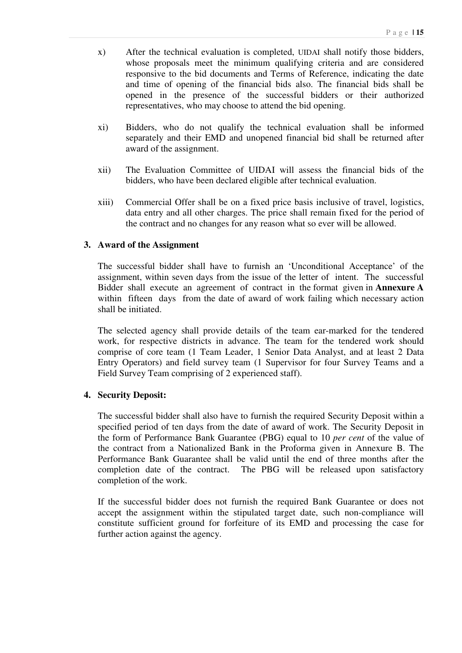- x) After the technical evaluation is completed, UIDAI shall notify those bidders, whose proposals meet the minimum qualifying criteria and are considered responsive to the bid documents and Terms of Reference, indicating the date and time of opening of the financial bids also. The financial bids shall be opened in the presence of the successful bidders or their authorized representatives, who may choose to attend the bid opening.
- xi) Bidders, who do not qualify the technical evaluation shall be informed separately and their EMD and unopened financial bid shall be returned after award of the assignment.
- xii) The Evaluation Committee of UIDAI will assess the financial bids of the bidders, who have been declared eligible after technical evaluation.
- xiii) Commercial Offer shall be on a fixed price basis inclusive of travel, logistics, data entry and all other charges. The price shall remain fixed for the period of the contract and no changes for any reason what so ever will be allowed.

### **3. Award of the Assignment**

The successful bidder shall have to furnish an 'Unconditional Acceptance' of the assignment, within seven days from the issue of the letter of intent. The successful Bidder shall execute an agreement of contract in the format given in **Annexure A** within fifteen days from the date of award of work failing which necessary action shall be initiated.

The selected agency shall provide details of the team ear-marked for the tendered work, for respective districts in advance. The team for the tendered work should comprise of core team (1 Team Leader, 1 Senior Data Analyst, and at least 2 Data Entry Operators) and field survey team (1 Supervisor for four Survey Teams and a Field Survey Team comprising of 2 experienced staff).

### **4. Security Deposit:**

The successful bidder shall also have to furnish the required Security Deposit within a specified period of ten days from the date of award of work. The Security Deposit in the form of Performance Bank Guarantee (PBG) equal to 10 *per cent* of the value of the contract from a Nationalized Bank in the Proforma given in Annexure B. The Performance Bank Guarantee shall be valid until the end of three months after the completion date of the contract. The PBG will be released upon satisfactory completion of the work.

If the successful bidder does not furnish the required Bank Guarantee or does not accept the assignment within the stipulated target date, such non-compliance will constitute sufficient ground for forfeiture of its EMD and processing the case for further action against the agency.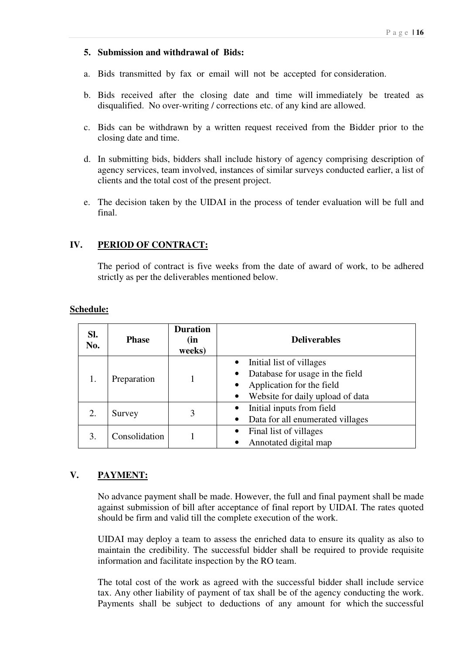### **5. Submission and withdrawal of Bids:**

- a. Bids transmitted by fax or email will not be accepted for consideration.
- b. Bids received after the closing date and time will immediately be treated as disqualified. No over-writing / corrections etc. of any kind are allowed.
- c. Bids can be withdrawn by a written request received from the Bidder prior to the closing date and time.
- d. In submitting bids, bidders shall include history of agency comprising description of agency services, team involved, instances of similar surveys conducted earlier, a list of clients and the total cost of the present project.
- e. The decision taken by the UIDAI in the process of tender evaluation will be full and final.

### **IV. PERIOD OF CONTRACT:**

The period of contract is five weeks from the date of award of work, to be adhered strictly as per the deliverables mentioned below.

| SI.<br>No. | <b>Phase</b>  | <b>Duration</b><br>(in<br>weeks) | <b>Deliverables</b>              |                                    |
|------------|---------------|----------------------------------|----------------------------------|------------------------------------|
|            |               |                                  | Initial list of villages         |                                    |
|            | Preparation   |                                  |                                  | Database for usage in the field    |
|            |               |                                  | Application for the field        |                                    |
|            |               |                                  | Website for daily upload of data |                                    |
| 2.         |               | 3                                | Initial inputs from field        |                                    |
|            | Survey        |                                  |                                  | • Data for all enumerated villages |
|            | Consolidation |                                  | Final list of villages           |                                    |
| 3.         |               |                                  | Annotated digital map            |                                    |

### **Schedule:**

### **V. PAYMENT:**

No advance payment shall be made. However, the full and final payment shall be made against submission of bill after acceptance of final report by UIDAI. The rates quoted should be firm and valid till the complete execution of the work.

UIDAI may deploy a team to assess the enriched data to ensure its quality as also to maintain the credibility. The successful bidder shall be required to provide requisite information and facilitate inspection by the RO team.

The total cost of the work as agreed with the successful bidder shall include service tax. Any other liability of payment of tax shall be of the agency conducting the work. Payments shall be subject to deductions of any amount for which the successful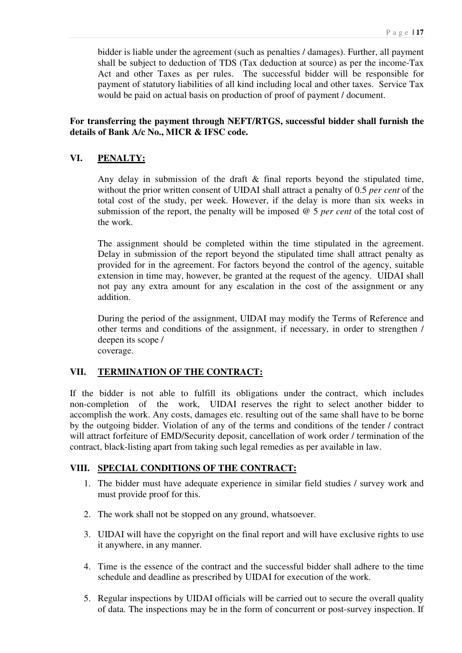bidder is liable under the agreement (such as penalties / damages). Further, all payment shall be subject to deduction of TDS (Tax deduction at source) as per the income-Tax Act and other Taxes as per rules. The successful bidder will be responsible for payment of statutory liabilities of all kind including local and other taxes. Service Tax would be paid on actual basis on production of proof of payment / document.

### **For transferring the payment through NEFT/RTGS, successful bidder shall furnish the details of Bank A/c No., MICR & IFSC code.**

### **VI. PENALTY:**

Any delay in submission of the draft & final reports beyond the stipulated time, without the prior written consent of UIDAI shall attract a penalty of 0.5 *per cent* of the total cost of the study, per week. However, if the delay is more than six weeks in submission of the report, the penalty will be imposed @ 5 *per cent* of the total cost of the work.

The assignment should be completed within the time stipulated in the agreement. Delay in submission of the report beyond the stipulated time shall attract penalty as provided for in the agreement. For factors beyond the control of the agency, suitable extension in time may, however, be granted at the request of the agency. UIDAI shall not pay any extra amount for any escalation in the cost of the assignment or any addition.

During the period of the assignment, UIDAI may modify the Terms of Reference and other terms and conditions of the assignment, if necessary, in order to strengthen / deepen its scope / coverage.

### **VII. TERMINATION OF THE CONTRACT:**

If the bidder is not able to fulfill its obligations under the contract, which includes non-completion of the work, UIDAI reserves the right to select another bidder to accomplish the work. Any costs, damages etc. resulting out of the same shall have to be borne by the outgoing bidder. Violation of any of the terms and conditions of the tender / contract will attract forfeiture of EMD/Security deposit, cancellation of work order / termination of the contract, black-listing apart from taking such legal remedies as per available in law.

### **VIII. SPECIAL CONDITIONS OF THE CONTRACT:**

- 1. The bidder must have adequate experience in similar field studies / survey work and must provide proof for this.
- 2. The work shall not be stopped on any ground, whatsoever.
- 3. UIDAI will have the copyright on the final report and will have exclusive rights to use it anywhere, in any manner.
- 4. Time is the essence of the contract and the successful bidder shall adhere to the time schedule and deadline as prescribed by UIDAI for execution of the work.
- 5. Regular inspections by UIDAI officials will be carried out to secure the overall quality of data. The inspections may be in the form of concurrent or post-survey inspection. If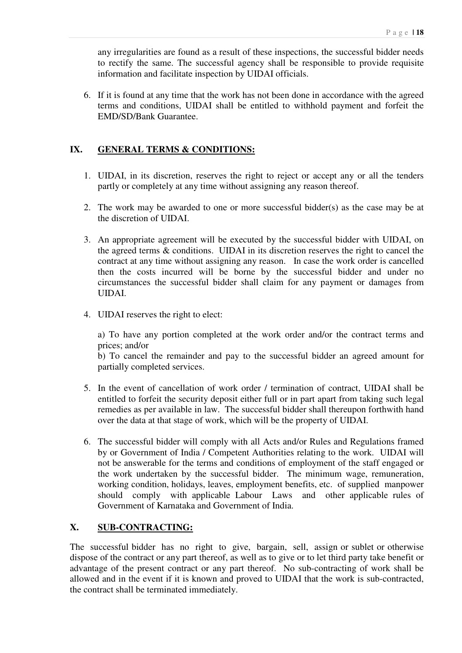any irregularities are found as a result of these inspections, the successful bidder needs to rectify the same. The successful agency shall be responsible to provide requisite information and facilitate inspection by UIDAI officials.

6. If it is found at any time that the work has not been done in accordance with the agreed terms and conditions, UIDAI shall be entitled to withhold payment and forfeit the EMD/SD/Bank Guarantee.

### **IX. GENERAL TERMS & CONDITIONS:**

- 1. UIDAI, in its discretion, reserves the right to reject or accept any or all the tenders partly or completely at any time without assigning any reason thereof.
- 2. The work may be awarded to one or more successful bidder(s) as the case may be at the discretion of UIDAI.
- 3. An appropriate agreement will be executed by the successful bidder with UIDAI, on the agreed terms & conditions. UIDAI in its discretion reserves the right to cancel the contract at any time without assigning any reason. In case the work order is cancelled then the costs incurred will be borne by the successful bidder and under no circumstances the successful bidder shall claim for any payment or damages from UIDAI.
- 4. UIDAI reserves the right to elect:

a) To have any portion completed at the work order and/or the contract terms and prices; and/or

b) To cancel the remainder and pay to the successful bidder an agreed amount for partially completed services.

- 5. In the event of cancellation of work order / termination of contract, UIDAI shall be entitled to forfeit the security deposit either full or in part apart from taking such legal remedies as per available in law. The successful bidder shall thereupon forthwith hand over the data at that stage of work, which will be the property of UIDAI.
- 6. The successful bidder will comply with all Acts and/or Rules and Regulations framed by or Government of India / Competent Authorities relating to the work. UIDAI will not be answerable for the terms and conditions of employment of the staff engaged or the work undertaken by the successful bidder. The minimum wage, remuneration, working condition, holidays, leaves, employment benefits, etc. of supplied manpower should comply with applicable Labour Laws and other applicable rules of Government of Karnataka and Government of India.

### **X. SUB-CONTRACTING:**

The successful bidder has no right to give, bargain, sell, assign or sublet or otherwise dispose of the contract or any part thereof, as well as to give or to let third party take benefit or advantage of the present contract or any part thereof. No sub-contracting of work shall be allowed and in the event if it is known and proved to UIDAI that the work is sub-contracted, the contract shall be terminated immediately.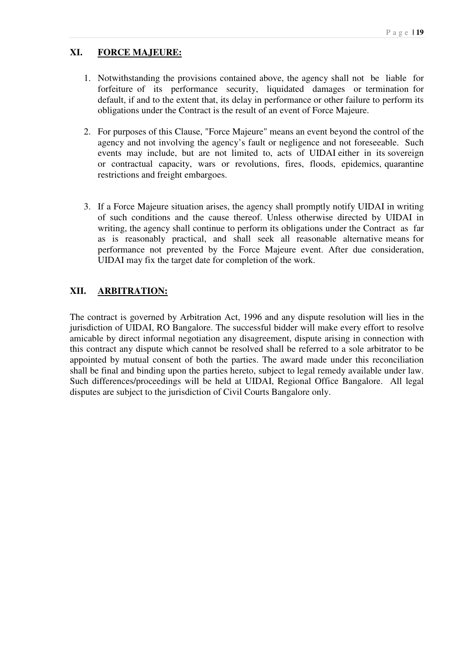### **XI. FORCE MAJEURE:**

- 1. Notwithstanding the provisions contained above, the agency shall not be liable for forfeiture of its performance security, liquidated damages or termination for default, if and to the extent that, its delay in performance or other failure to perform its obligations under the Contract is the result of an event of Force Majeure.
- 2. For purposes of this Clause, "Force Majeure" means an event beyond the control of the agency and not involving the agency's fault or negligence and not foreseeable. Such events may include, but are not limited to, acts of UIDAI either in its sovereign or contractual capacity, wars or revolutions, fires, floods, epidemics, quarantine restrictions and freight embargoes.
- 3. If a Force Majeure situation arises, the agency shall promptly notify UIDAI in writing of such conditions and the cause thereof. Unless otherwise directed by UIDAI in writing, the agency shall continue to perform its obligations under the Contract as far as is reasonably practical, and shall seek all reasonable alternative means for performance not prevented by the Force Majeure event. After due consideration, UIDAI may fix the target date for completion of the work.

### **XII. ARBITRATION:**

The contract is governed by Arbitration Act, 1996 and any dispute resolution will lies in the jurisdiction of UIDAI, RO Bangalore. The successful bidder will make every effort to resolve amicable by direct informal negotiation any disagreement, dispute arising in connection with this contract any dispute which cannot be resolved shall be referred to a sole arbitrator to be appointed by mutual consent of both the parties. The award made under this reconciliation shall be final and binding upon the parties hereto, subject to legal remedy available under law. Such differences/proceedings will be held at UIDAI, Regional Office Bangalore. All legal disputes are subject to the jurisdiction of Civil Courts Bangalore only.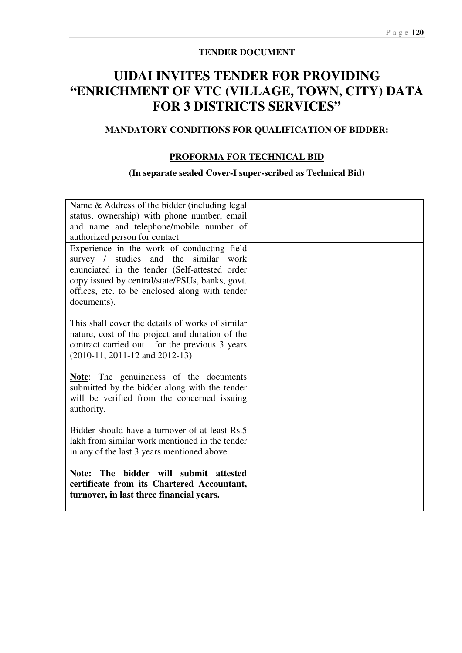### **TENDER DOCUMENT**

# **UIDAI INVITES TENDER FOR PROVIDING "ENRICHMENT OF VTC (VILLAGE, TOWN, CITY) DATA FOR 3 DISTRICTS SERVICES"**

### **MANDATORY CONDITIONS FOR QUALIFICATION OF BIDDER:**

### **PROFORMA FOR TECHNICAL BID**

### **(In separate sealed Cover-I super-scribed as Technical Bid)**

| Name & Address of the bidder (including legal<br>status, ownership) with phone number, email<br>and name and telephone/mobile number of<br>authorized person for contact                                                                                 |  |
|----------------------------------------------------------------------------------------------------------------------------------------------------------------------------------------------------------------------------------------------------------|--|
| Experience in the work of conducting field<br>survey / studies and the similar work<br>enunciated in the tender (Self-attested order<br>copy issued by central/state/PSUs, banks, govt.<br>offices, etc. to be enclosed along with tender<br>documents). |  |
| This shall cover the details of works of similar<br>nature, cost of the project and duration of the<br>contract carried out for the previous 3 years<br>$(2010-11, 2011-12$ and $2012-13)$                                                               |  |
| <b>Note:</b> The genuineness of the documents<br>submitted by the bidder along with the tender<br>will be verified from the concerned issuing<br>authority.                                                                                              |  |
| Bidder should have a turnover of at least Rs.5<br>lakh from similar work mentioned in the tender<br>in any of the last 3 years mentioned above.                                                                                                          |  |
| Note: The<br>bidder will submit attested<br>certificate from its Chartered Accountant,<br>turnover, in last three financial years.                                                                                                                       |  |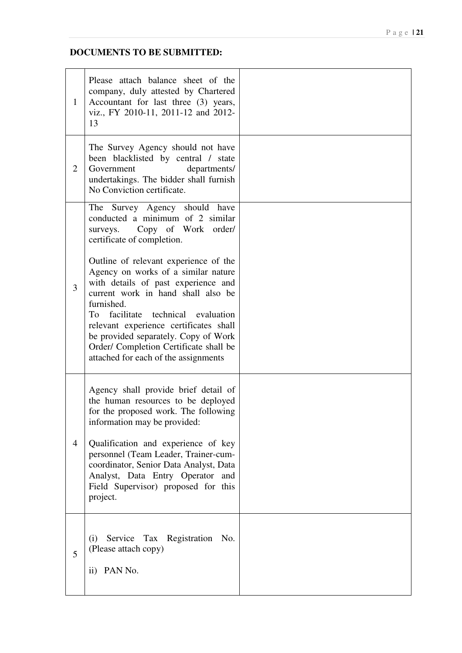### **DOCUMENTS TO BE SUBMITTED:**

| $\mathbf{1}$   | Please attach balance sheet of the<br>company, duly attested by Chartered<br>Accountant for last three (3) years,<br>viz., FY 2010-11, 2011-12 and 2012-<br>13                                                                                                                                                                                                                          |  |
|----------------|-----------------------------------------------------------------------------------------------------------------------------------------------------------------------------------------------------------------------------------------------------------------------------------------------------------------------------------------------------------------------------------------|--|
| $\overline{2}$ | The Survey Agency should not have<br>been blacklisted by central / state<br>Government<br>departments/<br>undertakings. The bidder shall furnish<br>No Conviction certificate.                                                                                                                                                                                                          |  |
|                | The Survey Agency should have<br>conducted a minimum of 2 similar<br>Copy of Work order/<br>surveys.<br>certificate of completion.                                                                                                                                                                                                                                                      |  |
| 3              | Outline of relevant experience of the<br>Agency on works of a similar nature<br>with details of past experience and<br>current work in hand shall also be<br>furnished.<br>facilitate<br>technical evaluation<br>To<br>relevant experience certificates shall<br>be provided separately. Copy of Work<br>Order/ Completion Certificate shall be<br>attached for each of the assignments |  |
| $\overline{4}$ | Agency shall provide brief detail of<br>the human resources to be deployed<br>for the proposed work. The following<br>information may be provided:<br>Qualification and experience of key<br>personnel (Team Leader, Trainer-cum-<br>coordinator, Senior Data Analyst, Data<br>Analyst, Data Entry Operator and<br>Field Supervisor) proposed for this<br>project.                      |  |
| 5              | Service Tax Registration No.<br>(i)<br>(Please attach copy)<br>ii) PAN No.                                                                                                                                                                                                                                                                                                              |  |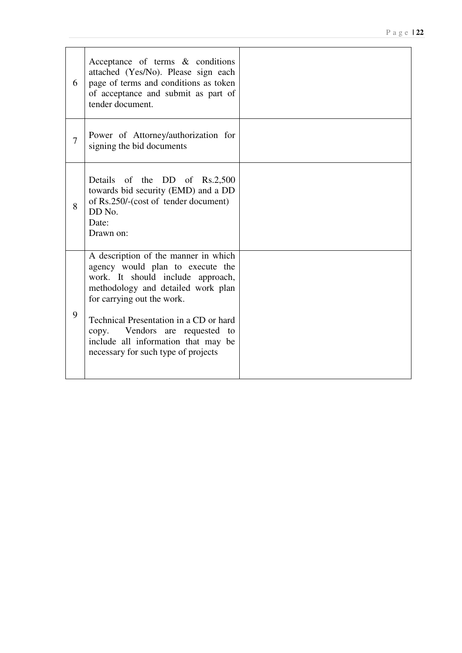| 6              | Acceptance of terms & conditions<br>attached (Yes/No). Please sign each<br>page of terms and conditions as token<br>of acceptance and submit as part of<br>tender document.                                                                                                                                                                 |  |
|----------------|---------------------------------------------------------------------------------------------------------------------------------------------------------------------------------------------------------------------------------------------------------------------------------------------------------------------------------------------|--|
| $\overline{7}$ | Power of Attorney/authorization for<br>signing the bid documents                                                                                                                                                                                                                                                                            |  |
| 8              | Details of the DD of Rs.2,500<br>towards bid security (EMD) and a DD<br>of Rs.250/-(cost of tender document)<br>DD No.<br>Date:<br>Drawn on:                                                                                                                                                                                                |  |
| 9              | A description of the manner in which<br>agency would plan to execute the<br>work. It should include approach,<br>methodology and detailed work plan<br>for carrying out the work.<br>Technical Presentation in a CD or hard<br>copy. Vendors are requested to<br>include all information that may be<br>necessary for such type of projects |  |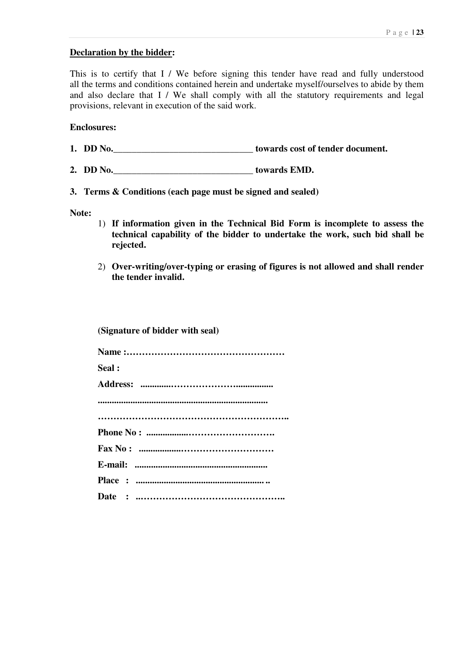#### **Declaration by the bidder:**

This is to certify that I / We before signing this tender have read and fully understood all the terms and conditions contained herein and undertake myself/ourselves to abide by them and also declare that I / We shall comply with all the statutory requirements and legal provisions, relevant in execution of the said work.

### **Enclosures:**

**1. DD No. 1. but a 1. but a but a but a cost** of **tender document.** 

- **2. DD No.\_\_\_\_\_\_\_\_\_\_\_\_\_\_\_\_\_\_\_\_\_\_\_\_\_\_\_\_\_\_ towards EMD.**
- **3. Terms & Conditions (each page must be signed and sealed)**

#### **Note:**

- 1) **If information given in the Technical Bid Form is incomplete to assess the technical capability of the bidder to undertake the work, such bid shall be rejected.**
- 2) **Over-writing/over-typing or erasing of figures is not allowed and shall render the tender invalid.**

**(Signature of bidder with seal)** 

| Seal: |
|-------|
|       |
|       |
|       |
|       |
|       |
|       |
|       |
|       |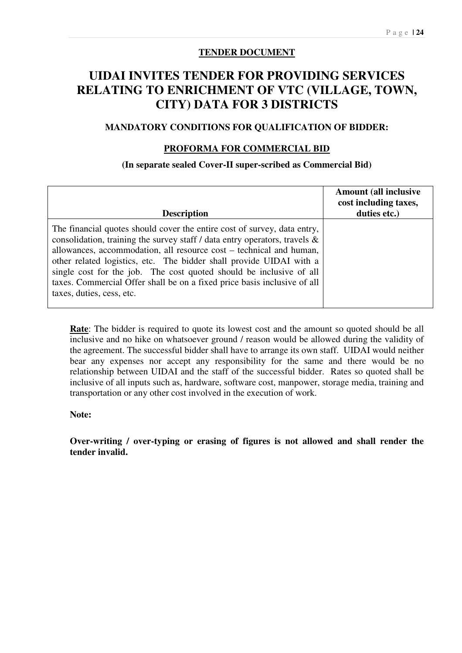### **TENDER DOCUMENT**

## **UIDAI INVITES TENDER FOR PROVIDING SERVICES RELATING TO ENRICHMENT OF VTC (VILLAGE, TOWN, CITY) DATA FOR 3 DISTRICTS**

### **MANDATORY CONDITIONS FOR QUALIFICATION OF BIDDER:**

#### **PROFORMA FOR COMMERCIAL BID**

#### **(In separate sealed Cover-II super-scribed as Commercial Bid)**

| <b>Description</b>                                                                                                                                                                                                                                                                                                                                                                                                                                                                      | <b>Amount (all inclusive</b><br>cost including taxes,<br>duties etc.) |
|-----------------------------------------------------------------------------------------------------------------------------------------------------------------------------------------------------------------------------------------------------------------------------------------------------------------------------------------------------------------------------------------------------------------------------------------------------------------------------------------|-----------------------------------------------------------------------|
| The financial quotes should cover the entire cost of survey, data entry,<br>consolidation, training the survey staff / data entry operators, travels $\&$<br>allowances, accommodation, all resource cost – technical and human,<br>other related logistics, etc. The bidder shall provide UIDAI with a<br>single cost for the job. The cost quoted should be inclusive of all<br>taxes. Commercial Offer shall be on a fixed price basis inclusive of all<br>taxes, duties, cess, etc. |                                                                       |

**Rate**: The bidder is required to quote its lowest cost and the amount so quoted should be all inclusive and no hike on whatsoever ground / reason would be allowed during the validity of the agreement. The successful bidder shall have to arrange its own staff. UIDAI would neither bear any expenses nor accept any responsibility for the same and there would be no relationship between UIDAI and the staff of the successful bidder. Rates so quoted shall be inclusive of all inputs such as, hardware, software cost, manpower, storage media, training and transportation or any other cost involved in the execution of work.

#### **Note:**

**Over-writing / over-typing or erasing of figures is not allowed and shall render the tender invalid.**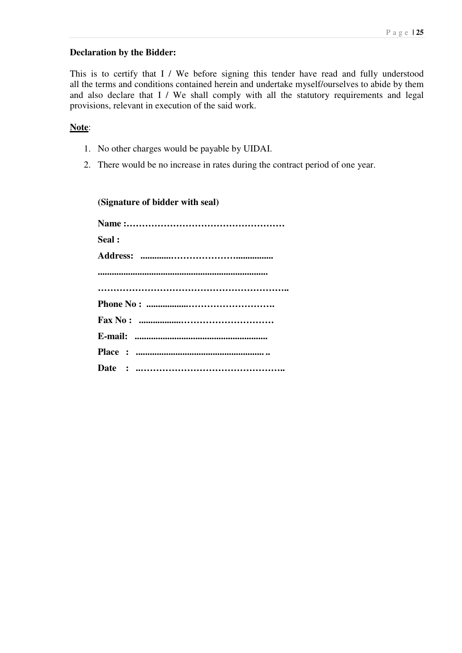#### P a g e **| 25**

#### **Declaration by the Bidder:**

This is to certify that I / We before signing this tender have read and fully understood all the terms and conditions contained herein and undertake myself/ourselves to abide by them and also declare that I / We shall comply with all the statutory requirements and legal provisions, relevant in execution of the said work.

### **Note**:

- 1. No other charges would be payable by UIDAI.
- 2. There would be no increase in rates during the contract period of one year.

### **(Signature of bidder with seal)**

| Seal: |
|-------|
|       |
|       |
|       |
|       |
|       |
|       |
|       |
|       |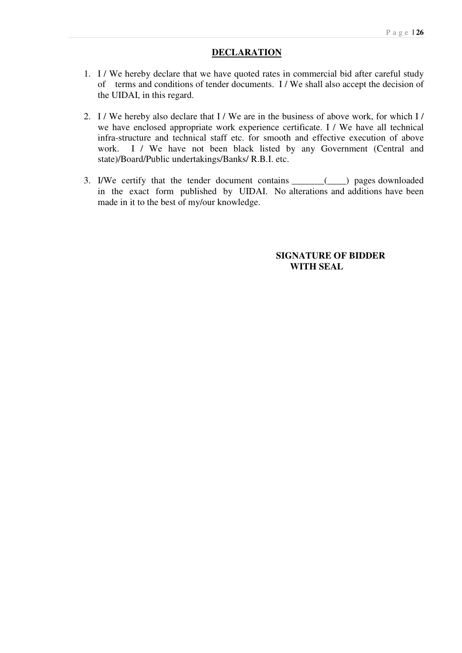### **DECLARATION**

- 1. I / We hereby declare that we have quoted rates in commercial bid after careful study of terms and conditions of tender documents. I / We shall also accept the decision of the UIDAI, in this regard.
- 2. I / We hereby also declare that I / We are in the business of above work, for which I / we have enclosed appropriate work experience certificate. I / We have all technical infra-structure and technical staff etc. for smooth and effective execution of above work. I / We have not been black listed by any Government (Central and state)/Board/Public undertakings/Banks/ R.B.I. etc.
- 3. I/We certify that the tender document contains \_\_\_\_\_\_\_(\_\_\_\_) pages downloaded in the exact form published by UIDAI. No alterations and additions have been made in it to the best of my/our knowledge.

### **SIGNATURE OF BIDDER WITH SEAL**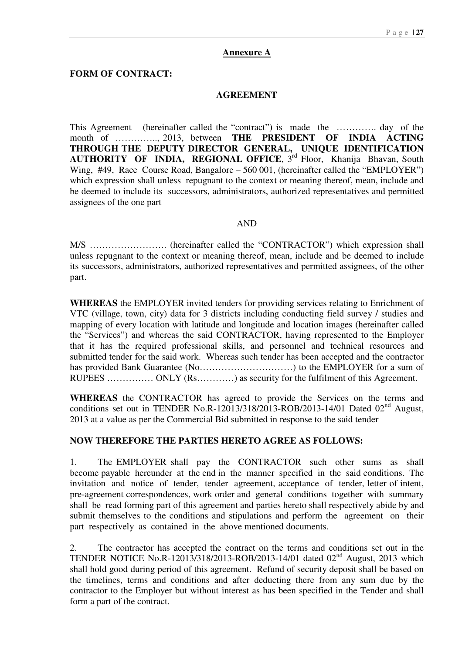#### **Annexure A**

#### **FORM OF CONTRACT:**

#### **AGREEMENT**

This Agreement (hereinafter called the "contract") is made the …………. day of the month of ………….., 2013, between **THE PRESIDENT OF INDIA ACTING THROUGH THE DEPUTY DIRECTOR GENERAL, UNIQUE IDENTIFICATION AUTHORITY OF INDIA, REGIONAL OFFICE, 3rd Floor, Khanija Bhavan, South** Wing, #49, Race Course Road, Bangalore – 560 001, (hereinafter called the "EMPLOYER") which expression shall unless repugnant to the context or meaning thereof, mean, include and be deemed to include its successors, administrators, authorized representatives and permitted assignees of the one part

#### AND

M/S ……………………. (hereinafter called the "CONTRACTOR") which expression shall unless repugnant to the context or meaning thereof, mean, include and be deemed to include its successors, administrators, authorized representatives and permitted assignees, of the other part.

**WHEREAS** the EMPLOYER invited tenders for providing services relating to Enrichment of VTC (village, town, city) data for 3 districts including conducting field survey / studies and mapping of every location with latitude and longitude and location images (hereinafter called the "Services") and whereas the said CONTRACTOR, having represented to the Employer that it has the required professional skills, and personnel and technical resources and submitted tender for the said work. Whereas such tender has been accepted and the contractor has provided Bank Guarantee (No…………………………) to the EMPLOYER for a sum of RUPEES …………… ONLY (Rs…………) as security for the fulfilment of this Agreement.

**WHEREAS** the CONTRACTOR has agreed to provide the Services on the terms and conditions set out in TENDER No.R-12013/318/2013-ROB/2013-14/01 Dated  $02<sup>nd</sup>$  August, 2013 at a value as per the Commercial Bid submitted in response to the said tender

#### **NOW THEREFORE THE PARTIES HERETO AGREE AS FOLLOWS:**

1. The EMPLOYER shall pay the CONTRACTOR such other sums as shall become payable hereunder at the end in the manner specified in the said conditions. The invitation and notice of tender, tender agreement, acceptance of tender, letter of intent, pre-agreement correspondences, work order and general conditions together with summary shall be read forming part of this agreement and parties hereto shall respectively abide by and submit themselves to the conditions and stipulations and perform the agreement on their part respectively as contained in the above mentioned documents.

2. The contractor has accepted the contract on the terms and conditions set out in the TENDER NOTICE No.R-12013/318/2013-ROB/2013-14/01 dated 02nd August, 2013 which shall hold good during period of this agreement. Refund of security deposit shall be based on the timelines, terms and conditions and after deducting there from any sum due by the contractor to the Employer but without interest as has been specified in the Tender and shall form a part of the contract.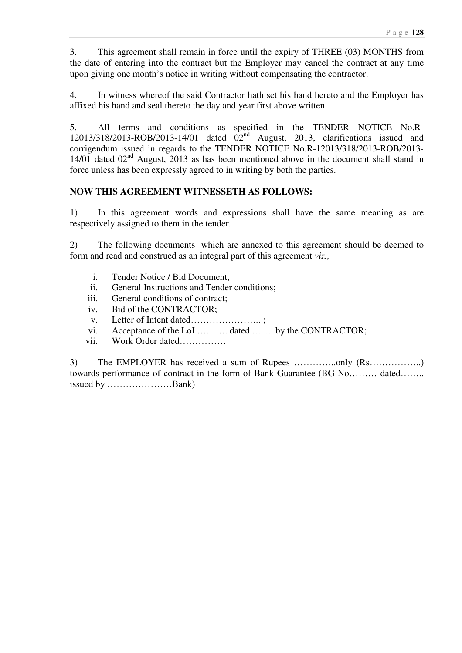3. This agreement shall remain in force until the expiry of THREE (03) MONTHS from the date of entering into the contract but the Employer may cancel the contract at any time upon giving one month's notice in writing without compensating the contractor.

4. In witness whereof the said Contractor hath set his hand hereto and the Employer has affixed his hand and seal thereto the day and year first above written.

5. All terms and conditions as specified in the TENDER NOTICE No.R- $12013/318/2013-ROB/2013-14/01$  dated  $02<sup>nd</sup>$  August, 2013, clarifications issued and corrigendum issued in regards to the TENDER NOTICE No.R-12013/318/2013-ROB/2013- 14/01 dated  $02<sup>nd</sup>$  August, 2013 as has been mentioned above in the document shall stand in force unless has been expressly agreed to in writing by both the parties.

### **NOW THIS AGREEMENT WITNESSETH AS FOLLOWS:**

1) In this agreement words and expressions shall have the same meaning as are respectively assigned to them in the tender.

2) The following documents which are annexed to this agreement should be deemed to form and read and construed as an integral part of this agreement *viz.,*

- i. Tender Notice / Bid Document,
- ii. General Instructions and Tender conditions;
- iii. General conditions of contract;
- iv. Bid of the CONTRACTOR;
- v. Letter of Intent dated………………….. ;
- vi. Acceptance of the LoI ………. dated ……. by the CONTRACTOR;
- vii. Work Order dated……………

3) The EMPLOYER has received a sum of Rupees …………..only (Rs……………..) towards performance of contract in the form of Bank Guarantee (BG No……… dated…….. issued by …………………Bank)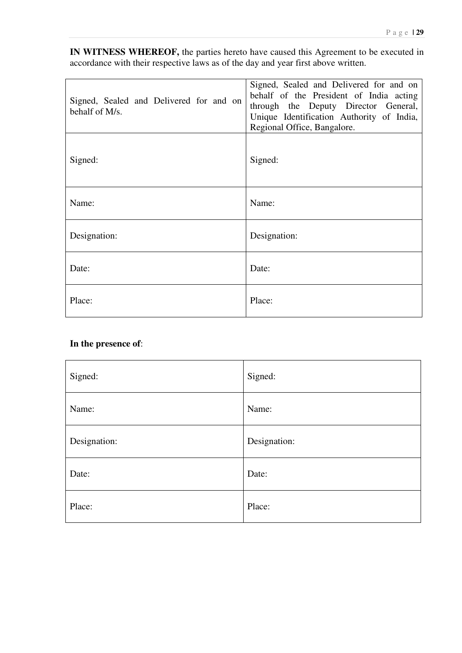**IN WITNESS WHEREOF,** the parties hereto have caused this Agreement to be executed in accordance with their respective laws as of the day and year first above written.

| Signed, Sealed and Delivered for and on<br>behalf of M/s. | Signed, Sealed and Delivered for and on<br>behalf of the President of India acting<br>through the Deputy Director General,<br>Unique Identification Authority of India,<br>Regional Office, Bangalore. |
|-----------------------------------------------------------|--------------------------------------------------------------------------------------------------------------------------------------------------------------------------------------------------------|
| Signed:                                                   | Signed:                                                                                                                                                                                                |
| Name:                                                     | Name:                                                                                                                                                                                                  |
| Designation:                                              | Designation:                                                                                                                                                                                           |
| Date:                                                     | Date:                                                                                                                                                                                                  |
| Place:                                                    | Place:                                                                                                                                                                                                 |

### **In the presence of**:

| Signed:      | Signed:      |
|--------------|--------------|
| Name:        | Name:        |
| Designation: | Designation: |
| Date:        | Date:        |
| Place:       | Place:       |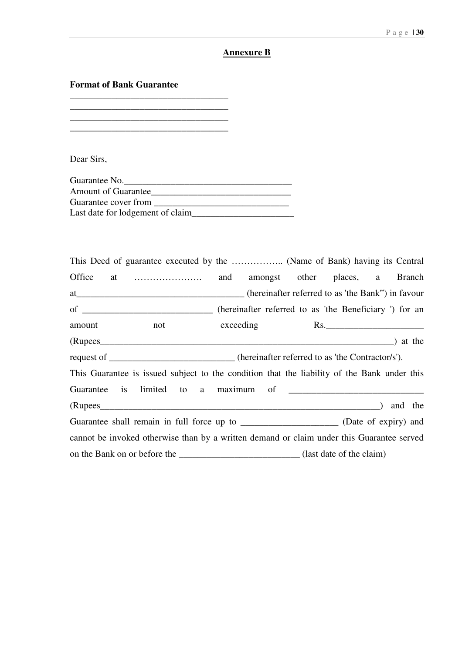### **Annexure B**

### **Format of Bank Guarantee**

\_\_\_\_\_\_\_\_\_\_\_\_\_\_\_\_\_\_\_\_\_\_\_\_\_\_\_\_\_\_\_\_\_\_

Dear Sirs,

| Guarantee No.                    |
|----------------------------------|
| <b>Amount of Guarantee</b>       |
| Guarantee cover from             |
| Last date for lodgement of claim |

|  |  |  | of _____________________________ (hereinafter referred to as 'the Beneficiary ') for an     |  |
|--|--|--|---------------------------------------------------------------------------------------------|--|
|  |  |  | amount not exceeding Rs.                                                                    |  |
|  |  |  |                                                                                             |  |
|  |  |  | request of ______________________________(hereinafter referred to as 'the Contractor/s').   |  |
|  |  |  | This Guarantee is issued subject to the condition that the liability of the Bank under this |  |
|  |  |  |                                                                                             |  |
|  |  |  | $(Rupees$ and the                                                                           |  |
|  |  |  | Guarantee shall remain in full force up to ____________________ (Date of expiry) and        |  |
|  |  |  | cannot be invoked otherwise than by a written demand or claim under this Guarantee served   |  |
|  |  |  |                                                                                             |  |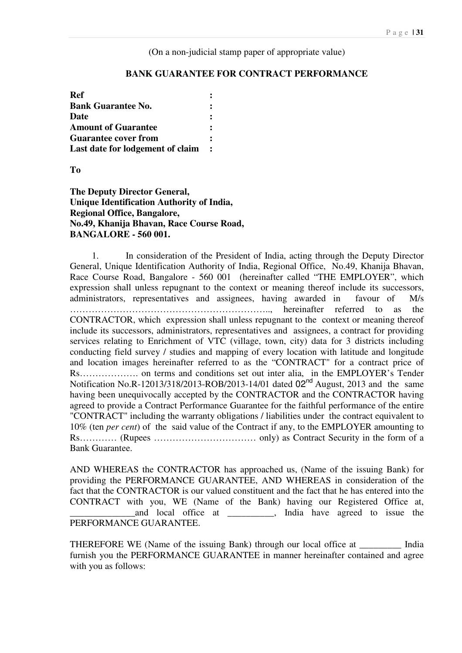(On a non-judicial stamp paper of appropriate value)

#### **BANK GUARANTEE FOR CONTRACT PERFORMANCE**

| Ref                              |  |
|----------------------------------|--|
| <b>Bank Guarantee No.</b>        |  |
| Date                             |  |
| <b>Amount of Guarantee</b>       |  |
| <b>Guarantee cover from</b>      |  |
| Last date for lodgement of claim |  |

**To** 

**The Deputy Director General, Unique Identification Authority of India, Regional Office, Bangalore, No.49, Khanija Bhavan, Race Course Road, BANGALORE - 560 001.** 

1. In consideration of the President of India, acting through the Deputy Director General, Unique Identification Authority of India, Regional Office, No.49, Khanija Bhavan, Race Course Road, Bangalore - 560 001 (hereinafter called "THE EMPLOYER", which expression shall unless repugnant to the context or meaning thereof include its successors, administrators, representatives and assignees, having awarded in favour of M/s ……………………………………………………….., hereinafter referred to as the CONTRACTOR, which expression shall unless repugnant to the context or meaning thereof include its successors, administrators, representatives and assignees, a contract for providing services relating to Enrichment of VTC (village, town, city) data for 3 districts including conducting field survey / studies and mapping of every location with latitude and longitude and location images hereinafter referred to as the "CONTRACT" for a contract price of Rs………………. on terms and conditions set out inter alia, in the EMPLOYER's Tender Notification No.R-12013/318/2013-ROB/2013-14/01 dated 02<sup>nd</sup> August, 2013 and the same having been unequivocally accepted by the CONTRACTOR and the CONTRACTOR having agreed to provide a Contract Performance Guarantee for the faithful performance of the entire "CONTRACT" including the warranty obligations / liabilities under the contract equivalent to 10% (ten *per cent*) of the said value of the Contract if any, to the EMPLOYER amounting to Rs………… (Rupees …………………………… only) as Contract Security in the form of a Bank Guarantee.

AND WHEREAS the CONTRACTOR has approached us, (Name of the issuing Bank) for providing the PERFORMANCE GUARANTEE, AND WHEREAS in consideration of the fact that the CONTRACTOR is our valued constituent and the fact that he has entered into the CONTRACT with you, WE (Name of the Bank) having our Registered Office at, and local office at \_\_\_\_\_\_\_\_, India have agreed to issue the PERFORMANCE GUARANTEE.

THEREFORE WE (Name of the issuing Bank) through our local office at \_\_\_\_\_\_\_\_\_ India furnish you the PERFORMANCE GUARANTEE in manner hereinafter contained and agree with you as follows: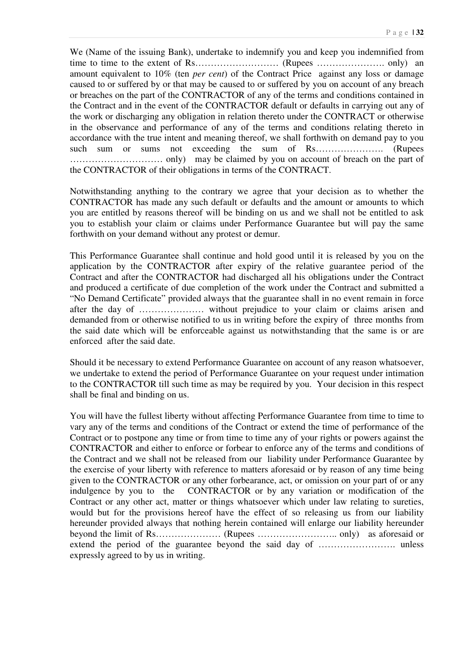We (Name of the issuing Bank), undertake to indemnify you and keep you indemnified from time to time to the extent of Rs……………………… (Rupees …………………. only) an amount equivalent to 10% (ten *per cent*) of the Contract Price against any loss or damage caused to or suffered by or that may be caused to or suffered by you on account of any breach or breaches on the part of the CONTRACTOR of any of the terms and conditions contained in the Contract and in the event of the CONTRACTOR default or defaults in carrying out any of the work or discharging any obligation in relation thereto under the CONTRACT or otherwise in the observance and performance of any of the terms and conditions relating thereto in accordance with the true intent and meaning thereof, we shall forthwith on demand pay to you such sum or sums not exceeding the sum of Rs…………………………. (Rupees ………………………… only) may be claimed by you on account of breach on the part of the CONTRACTOR of their obligations in terms of the CONTRACT.

Notwithstanding anything to the contrary we agree that your decision as to whether the CONTRACTOR has made any such default or defaults and the amount or amounts to which you are entitled by reasons thereof will be binding on us and we shall not be entitled to ask you to establish your claim or claims under Performance Guarantee but will pay the same forthwith on your demand without any protest or demur.

This Performance Guarantee shall continue and hold good until it is released by you on the application by the CONTRACTOR after expiry of the relative guarantee period of the Contract and after the CONTRACTOR had discharged all his obligations under the Contract and produced a certificate of due completion of the work under the Contract and submitted a "No Demand Certificate" provided always that the guarantee shall in no event remain in force after the day of ………………… without prejudice to your claim or claims arisen and demanded from or otherwise notified to us in writing before the expiry of three months from the said date which will be enforceable against us notwithstanding that the same is or are enforced after the said date.

Should it be necessary to extend Performance Guarantee on account of any reason whatsoever, we undertake to extend the period of Performance Guarantee on your request under intimation to the CONTRACTOR till such time as may be required by you. Your decision in this respect shall be final and binding on us.

You will have the fullest liberty without affecting Performance Guarantee from time to time to vary any of the terms and conditions of the Contract or extend the time of performance of the Contract or to postpone any time or from time to time any of your rights or powers against the CONTRACTOR and either to enforce or forbear to enforce any of the terms and conditions of the Contract and we shall not be released from our liability under Performance Guarantee by the exercise of your liberty with reference to matters aforesaid or by reason of any time being given to the CONTRACTOR or any other forbearance, act, or omission on your part of or any indulgence by you to the CONTRACTOR or by any variation or modification of the Contract or any other act, matter or things whatsoever which under law relating to sureties, would but for the provisions hereof have the effect of so releasing us from our liability hereunder provided always that nothing herein contained will enlarge our liability hereunder beyond the limit of Rs………………… (Rupees …………………….. only) as aforesaid or extend the period of the guarantee beyond the said day of ……………………. unless expressly agreed to by us in writing.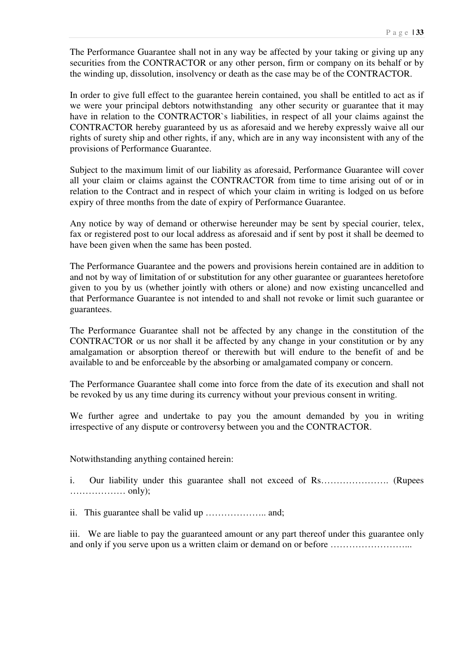The Performance Guarantee shall not in any way be affected by your taking or giving up any securities from the CONTRACTOR or any other person, firm or company on its behalf or by the winding up, dissolution, insolvency or death as the case may be of the CONTRACTOR.

In order to give full effect to the guarantee herein contained, you shall be entitled to act as if we were your principal debtors notwithstanding any other security or guarantee that it may have in relation to the CONTRACTOR`s liabilities, in respect of all your claims against the CONTRACTOR hereby guaranteed by us as aforesaid and we hereby expressly waive all our rights of surety ship and other rights, if any, which are in any way inconsistent with any of the provisions of Performance Guarantee.

Subject to the maximum limit of our liability as aforesaid, Performance Guarantee will cover all your claim or claims against the CONTRACTOR from time to time arising out of or in relation to the Contract and in respect of which your claim in writing is lodged on us before expiry of three months from the date of expiry of Performance Guarantee.

Any notice by way of demand or otherwise hereunder may be sent by special courier, telex, fax or registered post to our local address as aforesaid and if sent by post it shall be deemed to have been given when the same has been posted.

The Performance Guarantee and the powers and provisions herein contained are in addition to and not by way of limitation of or substitution for any other guarantee or guarantees heretofore given to you by us (whether jointly with others or alone) and now existing uncancelled and that Performance Guarantee is not intended to and shall not revoke or limit such guarantee or guarantees.

The Performance Guarantee shall not be affected by any change in the constitution of the CONTRACTOR or us nor shall it be affected by any change in your constitution or by any amalgamation or absorption thereof or therewith but will endure to the benefit of and be available to and be enforceable by the absorbing or amalgamated company or concern.

The Performance Guarantee shall come into force from the date of its execution and shall not be revoked by us any time during its currency without your previous consent in writing.

We further agree and undertake to pay you the amount demanded by you in writing irrespective of any dispute or controversy between you and the CONTRACTOR.

Notwithstanding anything contained herein:

i. Our liability under this guarantee shall not exceed of Rs…………………. (Rupees ……………… only);

ii. This guarantee shall be valid up ……………….. and;

iii. We are liable to pay the guaranteed amount or any part thereof under this guarantee only and only if you serve upon us a written claim or demand on or before ...............................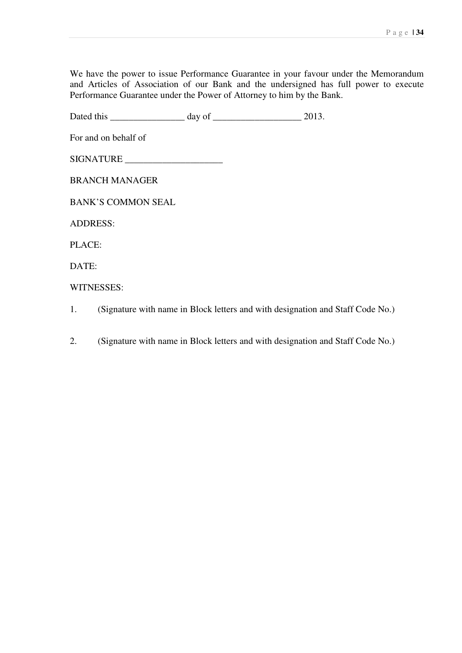We have the power to issue Performance Guarantee in your favour under the Memorandum and Articles of Association of our Bank and the undersigned has full power to execute Performance Guarantee under the Power of Attorney to him by the Bank.

Dated this \_\_\_\_\_\_\_\_\_\_\_\_\_\_\_\_ day of \_\_\_\_\_\_\_\_\_\_\_\_\_\_\_\_\_\_\_ 2013. For and on behalf of SIGNATURE \_\_\_\_\_\_\_\_\_\_\_\_\_\_\_\_\_\_\_\_\_ BRANCH MANAGER BANK'S COMMON SEAL ADDRESS: PLACE: DATE: WITNESSES:

2. (Signature with name in Block letters and with designation and Staff Code No.)

<sup>1. (</sup>Signature with name in Block letters and with designation and Staff Code No.)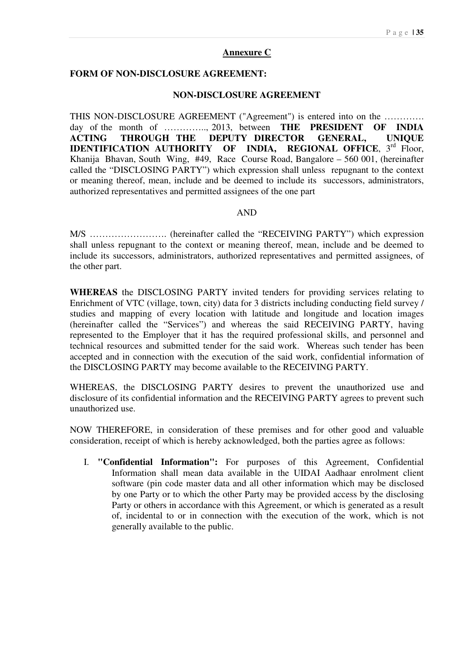### **Annexure C**

#### **FORM OF NON-DISCLOSURE AGREEMENT:**

#### **NON-DISCLOSURE AGREEMENT**

THIS NON-DISCLOSURE AGREEMENT ("Agreement") is entered into on the …………. day of the month of ………….., 2013, between **THE PRESIDENT OF INDIA ACTING THROUGH THE DEPUTY DIRECTOR GENERAL, UNIQUE IDENTIFICATION AUTHORITY OF INDIA, REGIONAL OFFICE, 3rd Floor,** Khanija Bhavan, South Wing, #49, Race Course Road, Bangalore – 560 001, (hereinafter called the "DISCLOSING PARTY") which expression shall unless repugnant to the context or meaning thereof, mean, include and be deemed to include its successors, administrators, authorized representatives and permitted assignees of the one part

#### AND

M/S ……………………. (hereinafter called the "RECEIVING PARTY") which expression shall unless repugnant to the context or meaning thereof, mean, include and be deemed to include its successors, administrators, authorized representatives and permitted assignees, of the other part.

**WHEREAS** the DISCLOSING PARTY invited tenders for providing services relating to Enrichment of VTC (village, town, city) data for 3 districts including conducting field survey / studies and mapping of every location with latitude and longitude and location images (hereinafter called the "Services") and whereas the said RECEIVING PARTY, having represented to the Employer that it has the required professional skills, and personnel and technical resources and submitted tender for the said work. Whereas such tender has been accepted and in connection with the execution of the said work, confidential information of the DISCLOSING PARTY may become available to the RECEIVING PARTY.

WHEREAS, the DISCLOSING PARTY desires to prevent the unauthorized use and disclosure of its confidential information and the RECEIVING PARTY agrees to prevent such unauthorized use.

NOW THEREFORE, in consideration of these premises and for other good and valuable consideration, receipt of which is hereby acknowledged, both the parties agree as follows:

I. **"Confidential Information":** For purposes of this Agreement, Confidential Information shall mean data available in the UIDAI Aadhaar enrolment client software (pin code master data and all other information which may be disclosed by one Party or to which the other Party may be provided access by the disclosing Party or others in accordance with this Agreement, or which is generated as a result of, incidental to or in connection with the execution of the work, which is not generally available to the public.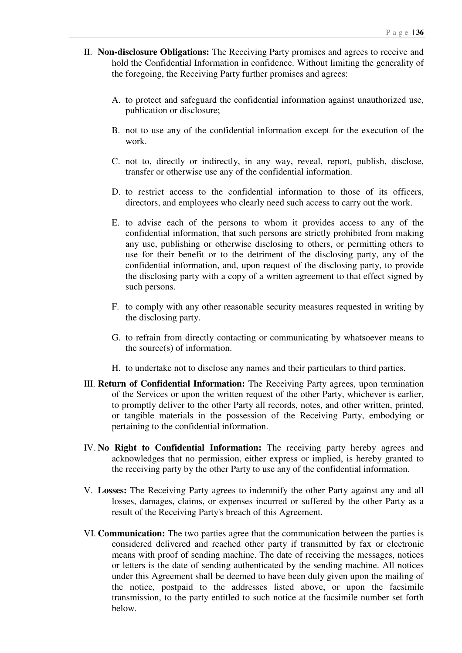- II. **Non-disclosure Obligations:** The Receiving Party promises and agrees to receive and hold the Confidential Information in confidence. Without limiting the generality of the foregoing, the Receiving Party further promises and agrees:
	- A. to protect and safeguard the confidential information against unauthorized use, publication or disclosure;
	- B. not to use any of the confidential information except for the execution of the work.
	- C. not to, directly or indirectly, in any way, reveal, report, publish, disclose, transfer or otherwise use any of the confidential information.
	- D. to restrict access to the confidential information to those of its officers, directors, and employees who clearly need such access to carry out the work.
	- E. to advise each of the persons to whom it provides access to any of the confidential information, that such persons are strictly prohibited from making any use, publishing or otherwise disclosing to others, or permitting others to use for their benefit or to the detriment of the disclosing party, any of the confidential information, and, upon request of the disclosing party, to provide the disclosing party with a copy of a written agreement to that effect signed by such persons.
	- F. to comply with any other reasonable security measures requested in writing by the disclosing party.
	- G. to refrain from directly contacting or communicating by whatsoever means to the source(s) of information.
	- H. to undertake not to disclose any names and their particulars to third parties.
- III. **Return of Confidential Information:** The Receiving Party agrees, upon termination of the Services or upon the written request of the other Party, whichever is earlier, to promptly deliver to the other Party all records, notes, and other written, printed, or tangible materials in the possession of the Receiving Party, embodying or pertaining to the confidential information.
- IV. **No Right to Confidential Information:** The receiving party hereby agrees and acknowledges that no permission, either express or implied, is hereby granted to the receiving party by the other Party to use any of the confidential information.
- V. **Losses:** The Receiving Party agrees to indemnify the other Party against any and all losses, damages, claims, or expenses incurred or suffered by the other Party as a result of the Receiving Party's breach of this Agreement.
- VI. **Communication:** The two parties agree that the communication between the parties is considered delivered and reached other party if transmitted by fax or electronic means with proof of sending machine. The date of receiving the messages, notices or letters is the date of sending authenticated by the sending machine. All notices under this Agreement shall be deemed to have been duly given upon the mailing of the notice, postpaid to the addresses listed above, or upon the facsimile transmission, to the party entitled to such notice at the facsimile number set forth below.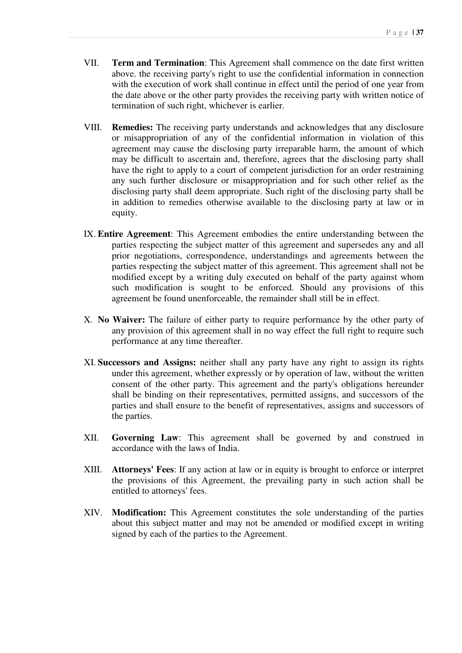- VII. **Term and Termination**: This Agreement shall commence on the date first written above. the receiving party's right to use the confidential information in connection with the execution of work shall continue in effect until the period of one year from the date above or the other party provides the receiving party with written notice of termination of such right, whichever is earlier.
- VIII. **Remedies:** The receiving party understands and acknowledges that any disclosure or misappropriation of any of the confidential information in violation of this agreement may cause the disclosing party irreparable harm, the amount of which may be difficult to ascertain and, therefore, agrees that the disclosing party shall have the right to apply to a court of competent jurisdiction for an order restraining any such further disclosure or misappropriation and for such other relief as the disclosing party shall deem appropriate. Such right of the disclosing party shall be in addition to remedies otherwise available to the disclosing party at law or in equity.
- IX. **Entire Agreement**: This Agreement embodies the entire understanding between the parties respecting the subject matter of this agreement and supersedes any and all prior negotiations, correspondence, understandings and agreements between the parties respecting the subject matter of this agreement. This agreement shall not be modified except by a writing duly executed on behalf of the party against whom such modification is sought to be enforced. Should any provisions of this agreement be found unenforceable, the remainder shall still be in effect.
- X. **No Waiver:** The failure of either party to require performance by the other party of any provision of this agreement shall in no way effect the full right to require such performance at any time thereafter.
- XI. **Successors and Assigns:** neither shall any party have any right to assign its rights under this agreement, whether expressly or by operation of law, without the written consent of the other party. This agreement and the party's obligations hereunder shall be binding on their representatives, permitted assigns, and successors of the parties and shall ensure to the benefit of representatives, assigns and successors of the parties.
- XII. **Governing Law**: This agreement shall be governed by and construed in accordance with the laws of India.
- XIII. **Attorneys' Fees**: If any action at law or in equity is brought to enforce or interpret the provisions of this Agreement, the prevailing party in such action shall be entitled to attorneys' fees.
- XIV. **Modification:** This Agreement constitutes the sole understanding of the parties about this subject matter and may not be amended or modified except in writing signed by each of the parties to the Agreement.